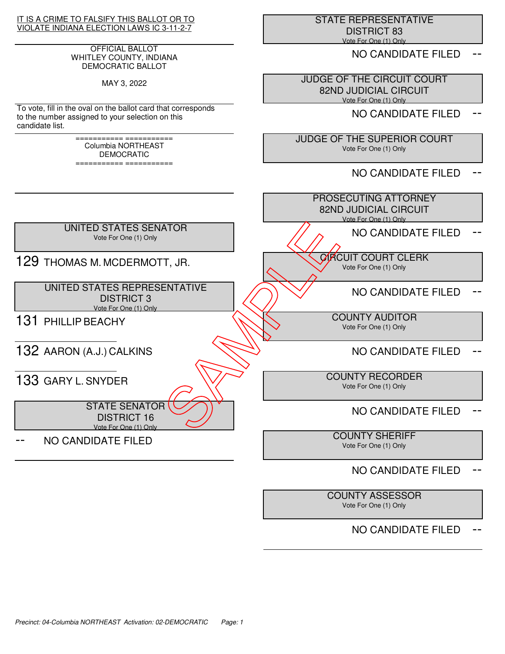IT IS A CRIME TO FALSIFY THIS BALLOT OR TO VIOLATE INDIANA ELECTION LAWS IC 3-11-2-7

### OFFICIAL BALLOT WHITLEY COUNTY, INDIANA DEMOCRATIC BALLOT

MAY 3, 2022

To vote, fill in the oval on the ballot card that corresponds to the number assigned to your selection on this candidate list.

> =========== =========== Columbia NORTHEAST DEMOCRATIC

> =========== ===========

 STATE REPRESENTATIVE DISTRICT 83 Vote For One (1) Only

NO CANDIDATE FILED

 JUDGE OF THE CIRCUIT COURT 82ND JUDICIAL CIRCUIT Vote For One (1) Only

NO CANDIDATE FILED

 JUDGE OF THE SUPERIOR COURT Vote For One (1) Only

NO CANDIDATE FILED



### Precinct: 04-Columbia NORTHEAST Activation: 02-DEMOCRATIC Page: 1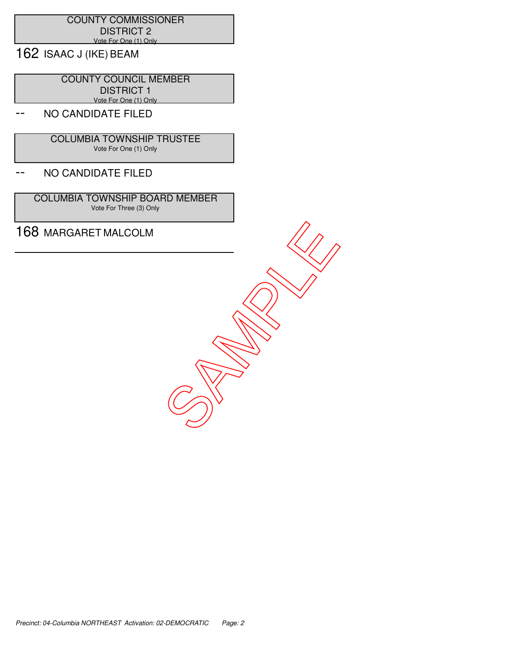## COUNTY COMMISSIONER DISTRICT 2 Vote For One (1) Only

162 ISAAC J (IKE) BEAM

 COUNTY COUNCIL MEMBER DISTRICT 1 Vote For One (1) Only

# NO CANDIDATE FILED

 COLUMBIA TOWNSHIP TRUSTEE Vote For One (1) Only

## -- NO CANDIDATE FILED

 COLUMBIA TOWNSHIP BOARD MEMBER Vote For Three (3) Only

168 MARGARET MALCOLM